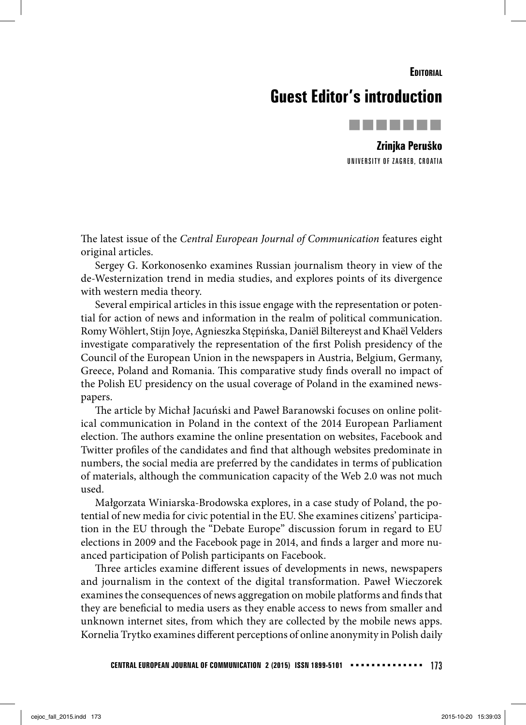**EDITORIAL** 

## **Guest Editor's introduction**



**Zrinjka Peruško** UNIVERSITY OF ZAGREB, CROATIA

The latest issue of the Central European Journal of Communication features eight original articles.

Sergey G. Korkonosenko examines Russian journalism theory in view of the de-Westernization trend in media studies, and explores points of its divergence with western media theory.

Several empirical articles in this issue engage with the representation or potential for action of news and information in the realm of political communication. Romy Wöhlert, Stijn Joye, Agnieszka Stępińska, Daniël Biltereyst and Khaël Velders investigate comparatively the representation of the first Polish presidency of the Council of the European Union in the newspapers in Austria, Belgium, Germany, Greece, Poland and Romania. This comparative study finds overall no impact of the Polish EU presidency on the usual coverage of Poland in the examined newspapers.

The article by Michał Jacuński and Paweł Baranowski focuses on online political communication in Poland in the context of the 2014 European Parliament election. The authors examine the online presentation on websites, Facebook and Twitter profiles of the candidates and find that although websites predominate in numbers, the social media are preferred by the candidates in terms of publication of materials, although the communication capacity of the Web 2.0 was not much used.

Małgorzata Winiarska-Brodowska explores, in a case study of Poland, the potential of new media for civic potential in the EU. She examines citizens' participation in the EU through the "Debate Europe" discussion forum in regard to EU elections in 2009 and the Facebook page in 2014, and finds a larger and more nuanced participation of Polish participants on Facebook.

Three articles examine different issues of developments in news, newspapers and journalism in the context of the digital transformation. Paweł Wieczorek examines the consequences of news aggregation on mobile platforms and finds that they are beneficial to media users as they enable access to news from smaller and unknown internet sites, from which they are collected by the mobile news apps. Kornelia Trytko examines different perceptions of online anonymity in Polish daily